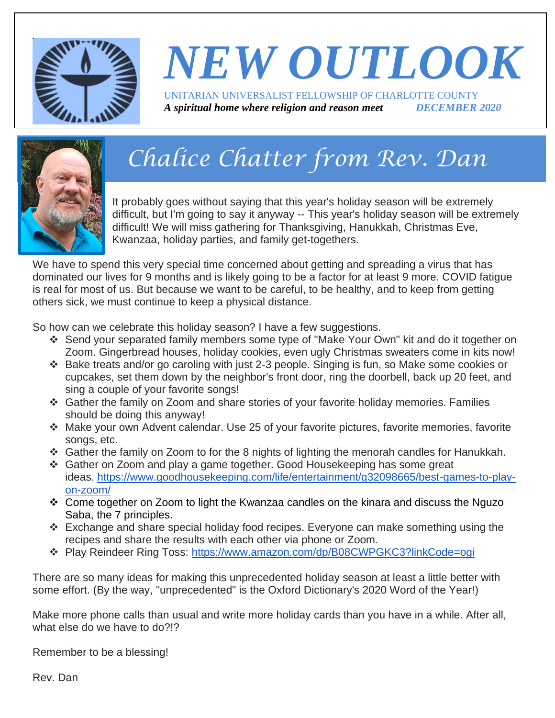

# *NEW OUTLOOK* UNITARIAN UNIVERSALIST FELLOWSHIP OF CHARLOTTE COUNTY

*A spiritual home where religion and reason meet DECEMBER 2020*



## *Chalice Chatter from Rev. Dan*

It probably goes without saying that this year's holiday season will be extremely difficult, but I'm going to say it anyway -- This year's holiday season will be extremely difficult! We will miss gathering for Thanksgiving, Hanukkah, Christmas Eve, Kwanzaa, holiday parties, and family get-togethers.

We have to spend this very special time concerned about getting and spreading a virus that has dominated our lives for 9 months and is likely going to be a factor for at least 9 more. COVID fatigue is real for most of us. But because we want to be careful, to be healthy, and to keep from getting others sick, we must continue to keep a physical distance.

So how can we celebrate this holiday season? I have a few suggestions.

- ❖ Send your separated family members some type of "Make Your Own" kit and do it together on Zoom. Gingerbread houses, holiday cookies, even ugly Christmas sweaters come in kits now!
- ❖ Bake treats and/or go caroling with just 2-3 people. Singing is fun, so Make some cookies or cupcakes, set them down by the neighbor's front door, ring the doorbell, back up 20 feet, and sing a couple of your favorite songs!
- ❖ Gather the family on Zoom and share stories of your favorite holiday memories. Families should be doing this anyway!
- ❖ Make your own Advent calendar. Use 25 of your favorite pictures, favorite memories, favorite songs, etc.
- $\div$  Gather the family on Zoom to for the 8 nights of lighting the menorah candles for Hanukkah.
- ❖ Gather on Zoom and play a game together. Good Housekeeping has some great ideas. [https://www.goodhousekeeping.com/life/entertainment/g32098665/best-games-to-play](https://www.goodhousekeeping.com/life/entertainment/g32098665/best-games-to-play-on-zoom/)[on-zoom/](https://www.goodhousekeeping.com/life/entertainment/g32098665/best-games-to-play-on-zoom/)
- ❖ Come together on Zoom to light the Kwanzaa candles on the kinara and discuss the Nguzo Saba, the 7 principles.
- ❖ Exchange and share special holiday food recipes. Everyone can make something using the recipes and share the results with each other via phone or Zoom.
- ❖ Play Reindeer Ring Toss: <https://www.amazon.com/dp/B08CWPGKC3?linkCode=ogi>

There are so many ideas for making this unprecedented holiday season at least a little better with some effort. (By the way, "unprecedented" is the Oxford Dictionary's 2020 Word of the Year!)

Make more phone calls than usual and write more holiday cards than you have in a while. After all, what else do we have to do?!?

Remember to be a blessing!

Rev. Dan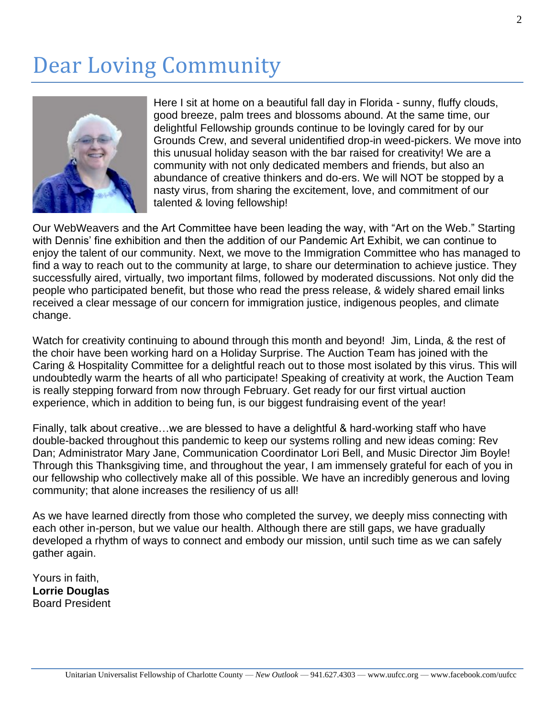### Dear Loving Community



Here I sit at home on a beautiful fall day in Florida - sunny, fluffy clouds, good breeze, palm trees and blossoms abound. At the same time, our delightful Fellowship grounds continue to be lovingly cared for by our Grounds Crew, and several unidentified drop-in weed-pickers. We move into this unusual holiday season with the bar raised for creativity! We are a community with not only dedicated members and friends, but also an abundance of creative thinkers and do-ers. We will NOT be stopped by a nasty virus, from sharing the excitement, love, and commitment of our talented & loving fellowship!

Our WebWeavers and the Art Committee have been leading the way, with "Art on the Web." Starting with Dennis' fine exhibition and then the addition of our Pandemic Art Exhibit, we can continue to enjoy the talent of our community. Next, we move to the Immigration Committee who has managed to find a way to reach out to the community at large, to share our determination to achieve justice. They successfully aired, virtually, two important films, followed by moderated discussions. Not only did the people who participated benefit, but those who read the press release, & widely shared email links received a clear message of our concern for immigration justice, indigenous peoples, and climate change.

Watch for creativity continuing to abound through this month and beyond! Jim, Linda, & the rest of the choir have been working hard on a Holiday Surprise. The Auction Team has joined with the Caring & Hospitality Committee for a delightful reach out to those most isolated by this virus. This will undoubtedly warm the hearts of all who participate! Speaking of creativity at work, the Auction Team is really stepping forward from now through February. Get ready for our first virtual auction experience, which in addition to being fun, is our biggest fundraising event of the year!

Finally, talk about creative…we are blessed to have a delightful & hard-working staff who have double-backed throughout this pandemic to keep our systems rolling and new ideas coming: Rev Dan; Administrator Mary Jane, Communication Coordinator Lori Bell, and Music Director Jim Boyle! Through this Thanksgiving time, and throughout the year, I am immensely grateful for each of you in our fellowship who collectively make all of this possible. We have an incredibly generous and loving community; that alone increases the resiliency of us all!

As we have learned directly from those who completed the survey, we deeply miss connecting with each other in-person, but we value our health. Although there are still gaps, we have gradually developed a rhythm of ways to connect and embody our mission, until such time as we can safely gather again.

Yours in faith, **Lorrie Douglas** Board President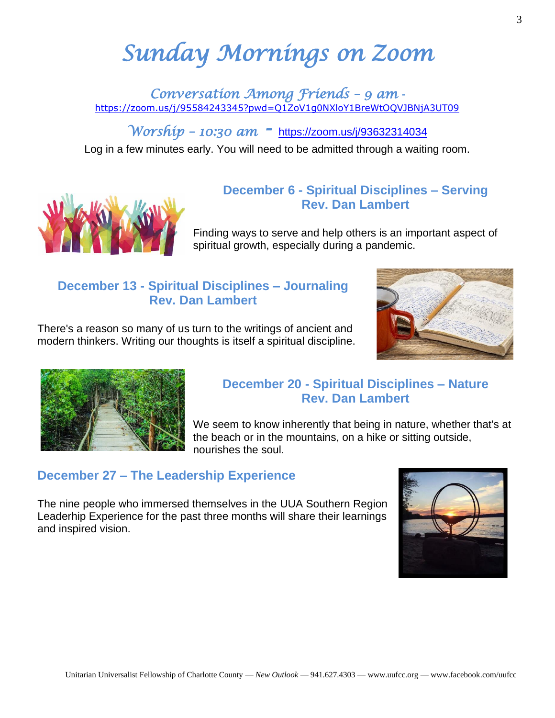## *Sunday Mornings on Zoom*

*Conversation Among Friends – 9 am*  <https://zoom.us/j/95584243345?pwd=Q1ZoV1g0NXloY1BreWtOQVJBNjA3UT09>

*Worship – 10:30 am -* <https://zoom.us/j/93632314034>

Log in a few minutes early. You will need to be admitted through a waiting room.



#### **December 6 - Spiritual Disciplines – Serving Rev. Dan Lambert**

Finding ways to serve and help others is an important aspect of spiritual growth, especially during a pandemic.

#### **December 13 - Spiritual Disciplines – Journaling Rev. Dan Lambert**

There's a reason so many of us turn to the writings of ancient and modern thinkers. Writing our thoughts is itself a spiritual discipline.





#### **December 20 - Spiritual Disciplines – Nature Rev. Dan Lambert**

We seem to know inherently that being in nature, whether that's at the beach or in the mountains, on a hike or sitting outside, nourishes the soul.

#### **December 27 – The Leadership Experience**

The nine people who immersed themselves in the UUA Southern Region Leaderhip Experience for the past three months will share their learnings and inspired vision.

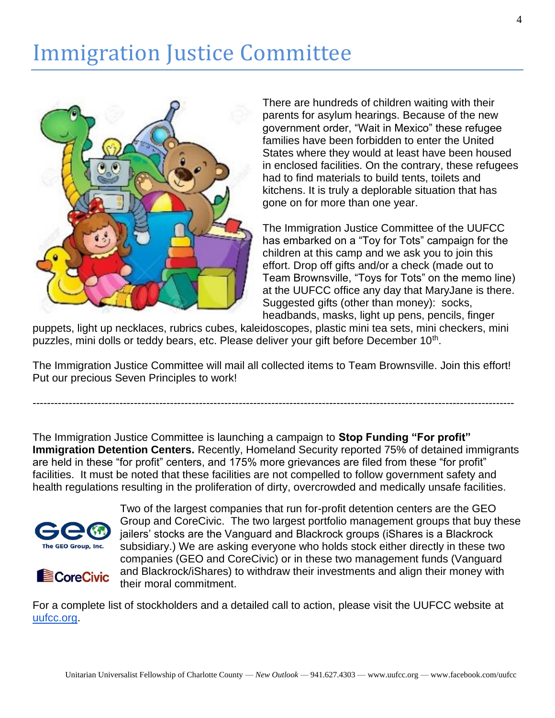### Immigration Justice Committee



There are hundreds of children waiting with their parents for asylum hearings. Because of the new government order, "Wait in Mexico" these refugee families have been forbidden to enter the United States where they would at least have been housed in enclosed facilities. On the contrary, these refugees had to find materials to build tents, toilets and kitchens. It is truly a deplorable situation that has gone on for more than one year.

The Immigration Justice Committee of the UUFCC has embarked on a "Toy for Tots" campaign for the children at this camp and we ask you to join this effort. Drop off gifts and/or a check (made out to Team Brownsville, "Toys for Tots" on the memo line) at the UUFCC office any day that MaryJane is there. Suggested gifts (other than money): socks, headbands, masks, light up pens, pencils, finger

puppets, light up necklaces, rubrics cubes, kaleidoscopes, plastic mini tea sets, mini checkers, mini puzzles, mini dolls or teddy bears, etc. Please deliver your gift before December 10<sup>th</sup>.

The Immigration Justice Committee will mail all collected items to Team Brownsville. Join this effort! Put our precious Seven Principles to work!

-------------------------------------------------------------------------------------------------------------------------------------

The Immigration Justice Committee is launching a campaign to **Stop Funding "For profit" Immigration Detention Centers.** Recently, Homeland Security reported 75% of detained immigrants are held in these "for profit" centers, and 175% more grievances are filed from these "for profit" facilities. It must be noted that these facilities are not compelled to follow government safety and health regulations resulting in the proliferation of dirty, overcrowded and medically unsafe facilities.





Two of the largest companies that run for-profit detention centers are the GEO Group and CoreCivic. The two largest portfolio management groups that buy these jailers' stocks are the Vanguard and Blackrock groups (iShares is a Blackrock subsidiary.) We are asking everyone who holds stock either directly in these two companies (GEO and CoreCivic) or in these two management funds (Vanguard and Blackrock/iShares) to withdraw their investments and align their money with their moral commitment.

For a complete list of stockholders and a detailed call to action, please visit the UUFCC website at [uufcc.org.](http://uufcc.org/)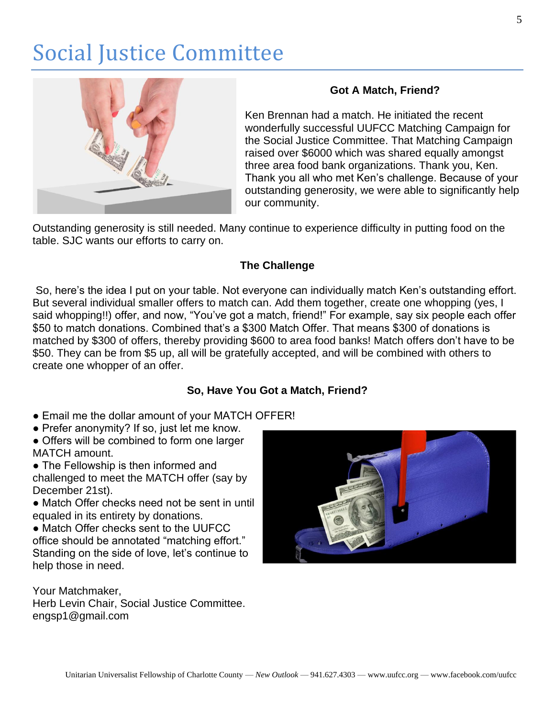### Social Justice Committee



#### **Got A Match, Friend?**

Ken Brennan had a match. He initiated the recent wonderfully successful UUFCC Matching Campaign for the Social Justice Committee. That Matching Campaign raised over \$6000 which was shared equally amongst three area food bank organizations. Thank you, Ken. Thank you all who met Ken's challenge. Because of your outstanding generosity, we were able to significantly help our community.

Outstanding generosity is still needed. Many continue to experience difficulty in putting food on the table. SJC wants our efforts to carry on.

#### **The Challenge**

So, here's the idea I put on your table. Not everyone can individually match Ken's outstanding effort. But several individual smaller offers to match can. Add them together, create one whopping (yes, I said whopping!!) offer, and now, "You've got a match, friend!" For example, say six people each offer \$50 to match donations. Combined that's a \$300 Match Offer. That means \$300 of donations is matched by \$300 of offers, thereby providing \$600 to area food banks! Match offers don't have to be \$50. They can be from \$5 up, all will be gratefully accepted, and will be combined with others to create one whopper of an offer.

#### **So, Have You Got a Match, Friend?**

- Email me the dollar amount of your MATCH OFFER!
- Prefer anonymity? If so, just let me know.
- Offers will be combined to form one larger MATCH amount.
- The Fellowship is then informed and challenged to meet the MATCH offer (say by December 21st).
- Match Offer checks need not be sent in until equaled in its entirety by donations.

● Match Offer checks sent to the UUFCC office should be annotated "matching effort." Standing on the side of love, let's continue to help those in need.

Your Matchmaker, Herb Levin Chair, Social Justice Committee. engsp1@gmail.com

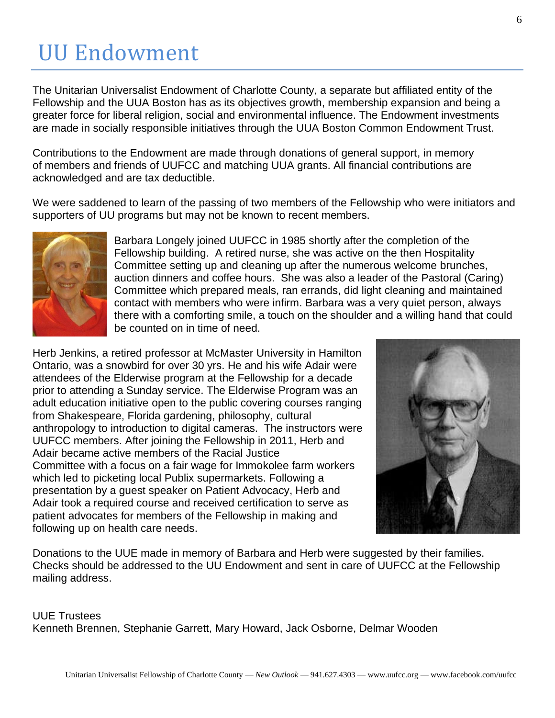### UU Endowment

The Unitarian Universalist Endowment of Charlotte County, a separate but affiliated entity of the Fellowship and the UUA Boston has as its objectives growth, membership expansion and being a greater force for liberal religion, social and environmental influence. The Endowment investments are made in socially responsible initiatives through the UUA Boston Common Endowment Trust.

Contributions to the Endowment are made through donations of general support, in memory of members and friends of UUFCC and matching UUA grants. All financial contributions are acknowledged and are tax deductible.

We were saddened to learn of the passing of two members of the Fellowship who were initiators and supporters of UU programs but may not be known to recent members.



Barbara Longely joined UUFCC in 1985 shortly after the completion of the Fellowship building. A retired nurse, she was active on the then Hospitality Committee setting up and cleaning up after the numerous welcome brunches, auction dinners and coffee hours. She was also a leader of the Pastoral (Caring) Committee which prepared meals, ran errands, did light cleaning and maintained contact with members who were infirm. Barbara was a very quiet person, always there with a comforting smile, a touch on the shoulder and a willing hand that could be counted on in time of need.

Herb Jenkins, a retired professor at McMaster University in Hamilton Ontario, was a snowbird for over 30 yrs. He and his wife Adair were attendees of the Elderwise program at the Fellowship for a decade prior to attending a Sunday service. The Elderwise Program was an adult education initiative open to the public covering courses ranging from Shakespeare, Florida gardening, philosophy, cultural anthropology to introduction to digital cameras. The instructors were UUFCC members. After joining the Fellowship in 2011, Herb and Adair became active members of the Racial Justice Committee with a focus on a fair wage for Immokolee farm workers which led to picketing local Publix supermarkets. Following a presentation by a guest speaker on Patient Advocacy, Herb and Adair took a required course and received certification to serve as patient advocates for members of the Fellowship in making and following up on health care needs.



Donations to the UUE made in memory of Barbara and Herb were suggested by their families. Checks should be addressed to the UU Endowment and sent in care of UUFCC at the Fellowship mailing address.

UUE Trustees Kenneth Brennen, Stephanie Garrett, Mary Howard, Jack Osborne, Delmar Wooden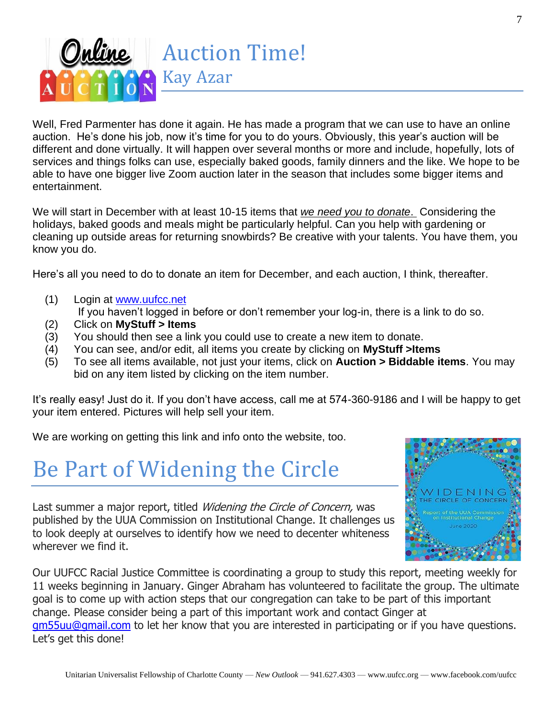

Well, Fred Parmenter has done it again. He has made a program that we can use to have an online auction. He's done his job, now it's time for you to do yours. Obviously, this year's auction will be different and done virtually. It will happen over several months or more and include, hopefully, lots of services and things folks can use, especially baked goods, family dinners and the like. We hope to be able to have one bigger live Zoom auction later in the season that includes some bigger items and entertainment.

We will start in December with at least 10-15 items that *we need you to donate*. Considering the holidays, baked goods and meals might be particularly helpful. Can you help with gardening or cleaning up outside areas for returning snowbirds? Be creative with your talents. You have them, you know you do.

Here's all you need to do to donate an item for December, and each auction, I think, thereafter.

- (1) Login at [www.uufcc.net](http://www.uufcc.net/)
	- If you haven't logged in before or don't remember your log-in, there is a link to do so.
- (2) Click on **MyStuff > Items**
- (3) You should then see a link you could use to create a new item to donate.
- (4) You can see, and/or edit, all items you create by clicking on **MyStuff >Items**
- (5) To see all items available, not just your items, click on **Auction > Biddable items**. You may bid on any item listed by clicking on the item number.

It's really easy! Just do it. If you don't have access, call me at 574-360-9186 and I will be happy to get your item entered. Pictures will help sell your item.

We are working on getting this link and info onto the website, too.

### Be Part of Widening the Circle

Last summer a major report, titled *Widening the Circle of Concern*, was published by the UUA Commission on Institutional Change. It challenges us to look deeply at ourselves to identify how we need to decenter whiteness wherever we find it.



Our UUFCC Racial Justice Committee is coordinating a group to study this report, meeting weekly for 11 weeks beginning in January. Ginger Abraham has volunteered to facilitate the group. The ultimate goal is to come up with action steps that our congregation can take to be part of this important change. Please consider being a part of this important work and contact Ginger at [gm55uu@gmail.com](mailto:gm55uu@gmail.com) to let her know that you are interested in participating or if you have questions. Let's get this done!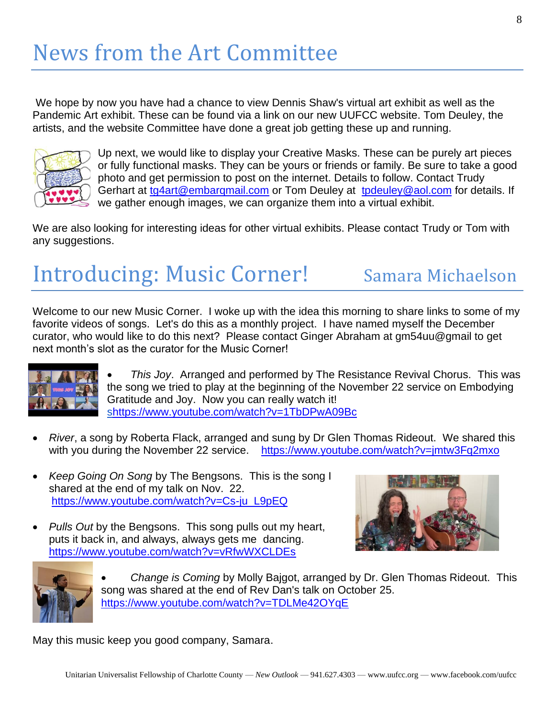We hope by now you have had a chance to view Dennis Shaw's virtual art exhibit as well as the Pandemic Art exhibit. These can be found via a link on our new UUFCC website. Tom Deuley, the artists, and the website Committee have done a great job getting these up and running.



Up next, we would like to display your Creative Masks. These can be purely art pieces or fully functional masks. They can be yours or friends or family. Be sure to take a good photo and get permission to post on the internet. Details to follow. Contact Trudy Gerhart at [tg4art@embarqmail.com](mailto:tg4art@embarqmail.com) or Tom Deuley at [tpdeuley@aol.com](mailto:tpdeuley@aol.com) for details. If we gather enough images, we can organize them into a virtual exhibit.

We are also looking for interesting ideas for other virtual exhibits. Please contact Trudy or Tom with any suggestions.

## Introducing: Music Corner! Samara Michaelson

Welcome to our new Music Corner. I woke up with the idea this morning to share links to some of my favorite videos of songs. Let's do this as a monthly project. I have named myself the December curator, who would like to do this next? Please contact Ginger Abraham at gm54uu@gmail to get next month's slot as the curator for the Music Corner!



• *This Joy*. Arranged and performed by The Resistance Revival Chorus. This was the song we tried to play at the beginning of the November 22 service on Embodying Gratitude and Joy. Now you can really watch it! [shttps://www.youtube.com/watch?v=1TbDPwA09Bc](https://www.youtube.com/watch?v=1TbDPwA09Bc)

- *River*, a song by Roberta Flack, arranged and sung by Dr Glen Thomas Rideout. We shared this with you during the November 22 service. <https://www.youtube.com/watch?v=jmtw3Fq2mxo>
- *Keep Going On Song* by The Bengsons. This is the song I shared at the end of my talk on Nov. 22. [https://www.youtube.com/watch?v=Cs-ju\\_L9pEQ](https://www.youtube.com/watch?v=Cs-ju_L9pEQ)
- *Pulls Out* by the Bengsons. This song pulls out my heart, puts it back in, and always, always gets me dancing. <https://www.youtube.com/watch?v=vRfwWXCLDEs>





• *Change is Coming* by Molly Bajgot, arranged by Dr. Glen Thomas Rideout. This song was shared at the end of Rev Dan's talk on October 25. <https://www.youtube.com/watch?v=TDLMe42OYqE>

May this music keep you good company, Samara.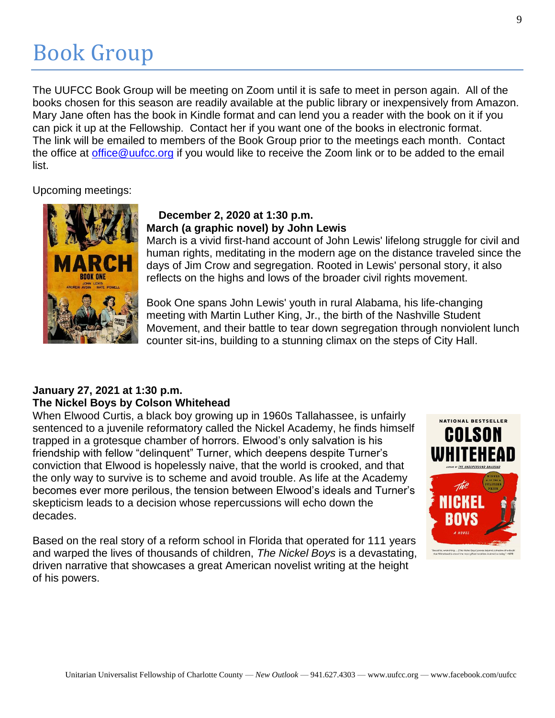## Book Group

The UUFCC Book Group will be meeting on Zoom until it is safe to meet in person again. All of the books chosen for this season are readily available at the public library or inexpensively from Amazon. Mary Jane often has the book in Kindle format and can lend you a reader with the book on it if you can pick it up at the Fellowship. Contact her if you want one of the books in electronic format. The link will be emailed to members of the Book Group prior to the meetings each month. Contact the office at [office@uufcc.org](mailto:office@uufcc.org) if you would like to receive the Zoom link or to be added to the email list.

Upcoming meetings:



#### **December 2, 2020 at 1:30 p.m. March (a graphic novel) by John Lewis**

March is a vivid first-hand account of John Lewis' lifelong struggle for civil and human rights, meditating in the modern age on the distance traveled since the days of Jim Crow and segregation. Rooted in Lewis' personal story, it also reflects on the highs and lows of the broader civil rights movement.

Book One spans John Lewis' youth in rural Alabama, his life-changing meeting with Martin Luther King, Jr., the birth of the Nashville Student Movement, and their battle to tear down segregation through nonviolent lunch counter sit-ins, building to a stunning climax on the steps of City Hall.

#### **January 27, 2021 at 1:30 p.m. The Nickel Boys by Colson Whitehead**

When Elwood Curtis, a black boy growing up in 1960s Tallahassee, is unfairly sentenced to a juvenile reformatory called the Nickel Academy, he finds himself trapped in a grotesque chamber of horrors. Elwood's only salvation is his friendship with fellow "delinquent" Turner, which deepens despite Turner's conviction that Elwood is hopelessly naive, that the world is crooked, and that the only way to survive is to scheme and avoid trouble. As life at the Academy becomes ever more perilous, the tension between Elwood's ideals and Turner's skepticism leads to a decision whose repercussions will echo down the decades.

Based on the real story of a reform school in Florida that operated for 111 years and warped the lives of thousands of children, *The Nickel Boys* is a devastating, driven narrative that showcases a great American novelist writing at the height of his powers.